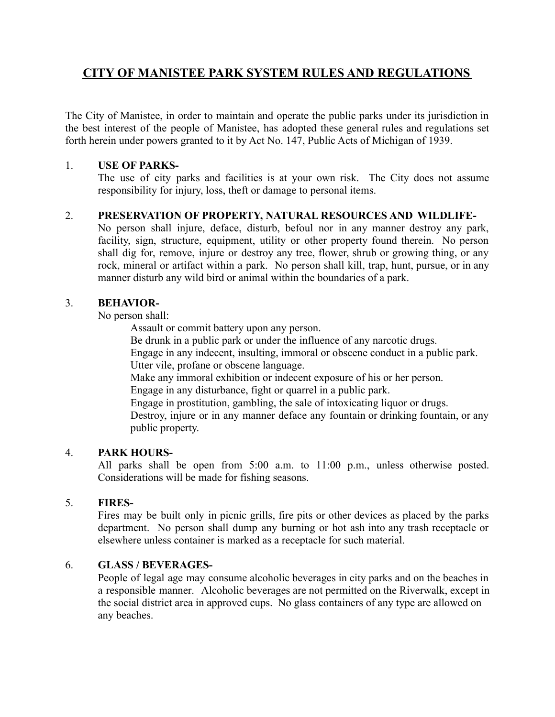# **CITY OF MANISTEE PARK SYSTEM RULES AND REGULATIONS**

The City of Manistee, in order to maintain and operate the public parks under its jurisdiction in the best interest of the people of Manistee, has adopted these general rules and regulations set forth herein under powers granted to it by Act No. 147, Public Acts of Michigan of 1939.

# 1. **USE OF PARKS-**

The use of city parks and facilities is at your own risk. The City does not assume responsibility for injury, loss, theft or damage to personal items.

# 2. **PRESERVATION OF PROPERTY, NATURAL RESOURCES AND WILDLIFE-**

No person shall injure, deface, disturb, befoul nor in any manner destroy any park, facility, sign, structure, equipment, utility or other property found therein. No person shall dig for, remove, injure or destroy any tree, flower, shrub or growing thing, or any rock, mineral or artifact within a park. No person shall kill, trap, hunt, pursue, or in any manner disturb any wild bird or animal within the boundaries of a park.

# 3. **BEHAVIOR-**

No person shall:

Assault or commit battery upon any person.

Be drunk in a public park or under the influence of any narcotic drugs.

Engage in any indecent, insulting, immoral or obscene conduct in a public park. Utter vile, profane or obscene language.

Make any immoral exhibition or indecent exposure of his or her person.

Engage in any disturbance, fight or quarrel in a public park.

Engage in prostitution, gambling, the sale of intoxicating liquor or drugs.

Destroy, injure or in any manner deface any fountain or drinking fountain, or any public property.

# 4. **PARK HOURS-**

All parks shall be open from 5:00 a.m. to 11:00 p.m., unless otherwise posted. Considerations will be made for fishing seasons.

# 5. **FIRES-**

Fires may be built only in picnic grills, fire pits or other devices as placed by the parks department. No person shall dump any burning or hot ash into any trash receptacle or elsewhere unless container is marked as a receptacle for such material.

# 6. **GLASS / BEVERAGES-**

People of legal age may consume alcoholic beverages in city parks and on the beaches in a responsible manner. Alcoholic beverages are not permitted on the Riverwalk, except in the social district area in approved cups. No glass containers of any type are allowed on any beaches.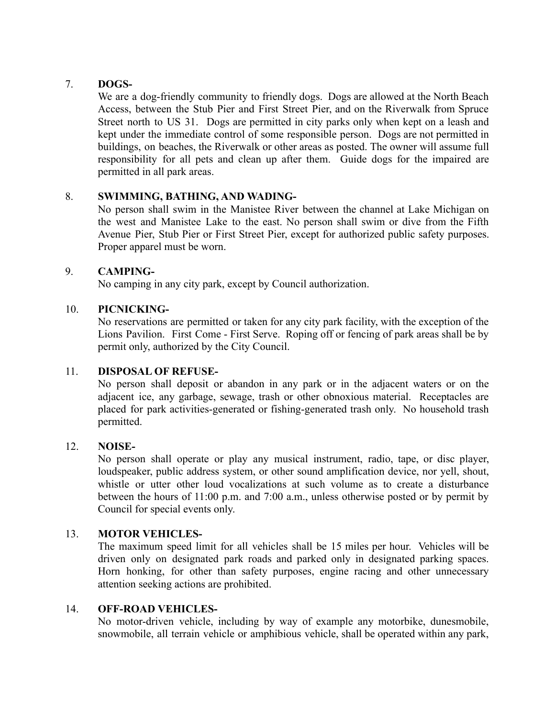# 7. **DOGS-**

We are a dog-friendly community to friendly dogs. Dogs are allowed at the North Beach Access, between the Stub Pier and First Street Pier, and on the Riverwalk from Spruce Street north to US 31. Dogs are permitted in city parks only when kept on a leash and kept under the immediate control of some responsible person. Dogs are not permitted in buildings, on beaches, the Riverwalk or other areas as posted. The owner will assume full responsibility for all pets and clean up after them. Guide dogs for the impaired are permitted in all park areas.

# 8. **SWIMMING, BATHING, AND WADING-**

No person shall swim in the Manistee River between the channel at Lake Michigan on the west and Manistee Lake to the east. No person shall swim or dive from the Fifth Avenue Pier, Stub Pier or First Street Pier, except for authorized public safety purposes. Proper apparel must be worn.

## 9. **CAMPING-**

No camping in any city park, except by Council authorization.

## 10. **PICNICKING-**

No reservations are permitted or taken for any city park facility, with the exception of the Lions Pavilion. First Come - First Serve. Roping off or fencing of park areas shall be by permit only, authorized by the City Council.

#### 11. **DISPOSAL OF REFUSE-**

No person shall deposit or abandon in any park or in the adjacent waters or on the adjacent ice, any garbage, sewage, trash or other obnoxious material. Receptacles are placed for park activities-generated or fishing-generated trash only. No household trash permitted.

#### 12. **NOISE-**

No person shall operate or play any musical instrument, radio, tape, or disc player, loudspeaker, public address system, or other sound amplification device, nor yell, shout, whistle or utter other loud vocalizations at such volume as to create a disturbance between the hours of 11:00 p.m. and 7:00 a.m., unless otherwise posted or by permit by Council for special events only.

## 13. **MOTOR VEHICLES-**

The maximum speed limit for all vehicles shall be 15 miles per hour. Vehicles will be driven only on designated park roads and parked only in designated parking spaces. Horn honking, for other than safety purposes, engine racing and other unnecessary attention seeking actions are prohibited.

#### 14. **OFF-ROAD VEHICLES-**

No motor-driven vehicle, including by way of example any motorbike, dunesmobile, snowmobile, all terrain vehicle or amphibious vehicle, shall be operated within any park,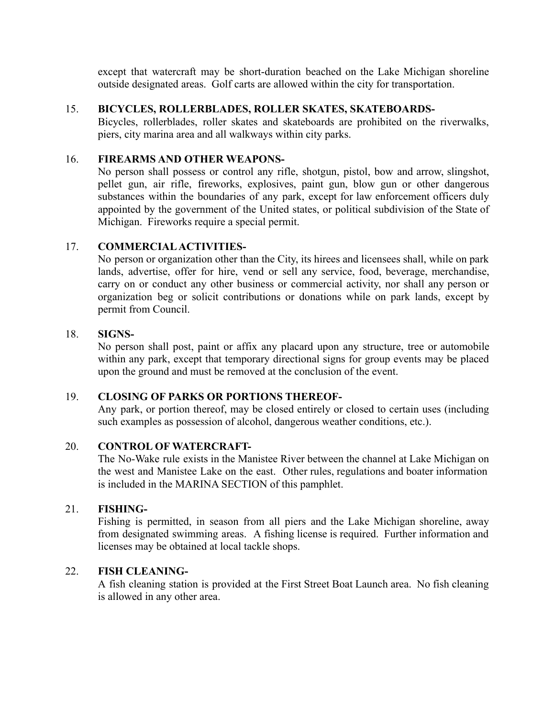except that watercraft may be short-duration beached on the Lake Michigan shoreline outside designated areas. Golf carts are allowed within the city for transportation.

#### 15. **BICYCLES, ROLLERBLADES, ROLLER SKATES, SKATEBOARDS-**

Bicycles, rollerblades, roller skates and skateboards are prohibited on the riverwalks, piers, city marina area and all walkways within city parks.

#### 16. **FIREARMS AND OTHER WEAPONS-**

No person shall possess or control any rifle, shotgun, pistol, bow and arrow, slingshot, pellet gun, air rifle, fireworks, explosives, paint gun, blow gun or other dangerous substances within the boundaries of any park, except for law enforcement officers duly appointed by the government of the United states, or political subdivision of the State of Michigan. Fireworks require a special permit.

## 17. **COMMERCIAL ACTIVITIES-**

No person or organization other than the City, its hirees and licensees shall, while on park lands, advertise, offer for hire, vend or sell any service, food, beverage, merchandise, carry on or conduct any other business or commercial activity, nor shall any person or organization beg or solicit contributions or donations while on park lands, except by permit from Council.

#### 18. **SIGNS-**

No person shall post, paint or affix any placard upon any structure, tree or automobile within any park, except that temporary directional signs for group events may be placed upon the ground and must be removed at the conclusion of the event.

#### 19. **CLOSING OF PARKS OR PORTIONS THEREOF-**

Any park, or portion thereof, may be closed entirely or closed to certain uses (including such examples as possession of alcohol, dangerous weather conditions, etc.).

#### 20. **CONTROL OF WATERCRAFT-**

The No-Wake rule exists in the Manistee River between the channel at Lake Michigan on the west and Manistee Lake on the east. Other rules, regulations and boater information is included in the MARINA SECTION of this pamphlet.

#### 21. **FISHING-**

Fishing is permitted, in season from all piers and the Lake Michigan shoreline, away from designated swimming areas. A fishing license is required. Further information and licenses may be obtained at local tackle shops.

#### 22. **FISH CLEANING-**

A fish cleaning station is provided at the First Street Boat Launch area. No fish cleaning is allowed in any other area.